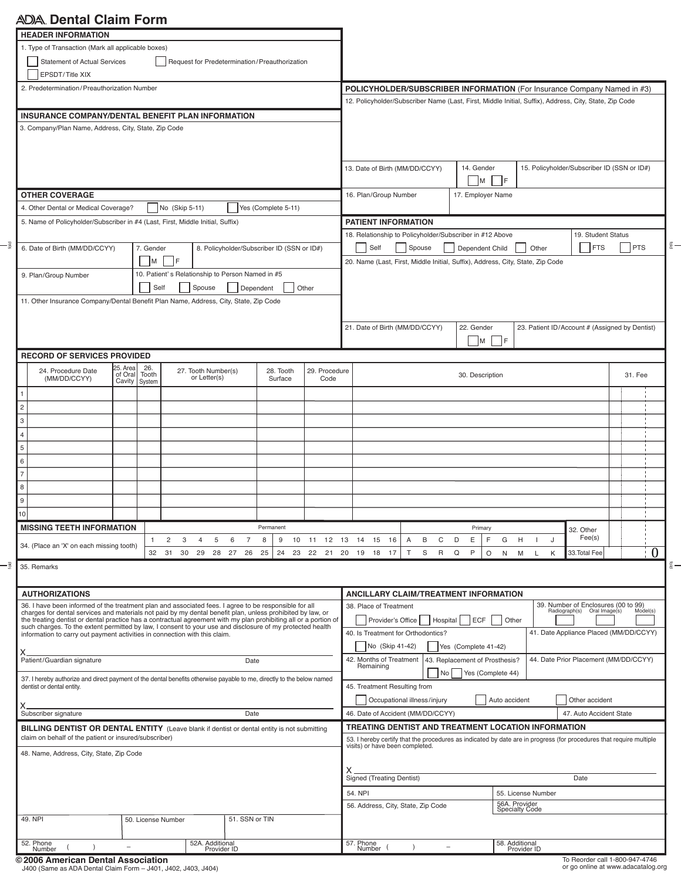# **Dental Claim Form**

| <b>HEADER INFORMATION</b>                                                                                                                                                                                                     |                          |                                                  |                                |                                                                                                        |                                                                                                                                                        |                                                                                                          |                                                |         |  |  |
|-------------------------------------------------------------------------------------------------------------------------------------------------------------------------------------------------------------------------------|--------------------------|--------------------------------------------------|--------------------------------|--------------------------------------------------------------------------------------------------------|--------------------------------------------------------------------------------------------------------------------------------------------------------|----------------------------------------------------------------------------------------------------------|------------------------------------------------|---------|--|--|
| 1. Type of Transaction (Mark all applicable boxes)                                                                                                                                                                            |                          |                                                  |                                |                                                                                                        |                                                                                                                                                        |                                                                                                          |                                                |         |  |  |
| <b>Statement of Actual Services</b>                                                                                                                                                                                           |                          | Request for Predetermination/Preauthorization    |                                |                                                                                                        |                                                                                                                                                        |                                                                                                          |                                                |         |  |  |
| EPSDT/Title XIX                                                                                                                                                                                                               |                          |                                                  |                                |                                                                                                        |                                                                                                                                                        |                                                                                                          |                                                |         |  |  |
| 2. Predetermination/Preauthorization Number                                                                                                                                                                                   |                          |                                                  |                                |                                                                                                        | POLICYHOLDER/SUBSCRIBER INFORMATION (For Insurance Company Named in #3)                                                                                |                                                                                                          |                                                |         |  |  |
|                                                                                                                                                                                                                               |                          |                                                  |                                | 12. Policyholder/Subscriber Name (Last, First, Middle Initial, Suffix), Address, City, State, Zip Code |                                                                                                                                                        |                                                                                                          |                                                |         |  |  |
|                                                                                                                                                                                                                               |                          |                                                  |                                |                                                                                                        |                                                                                                                                                        |                                                                                                          |                                                |         |  |  |
| INSURANCE COMPANY/DENTAL BENEFIT PLAN INFORMATION                                                                                                                                                                             |                          |                                                  |                                |                                                                                                        |                                                                                                                                                        |                                                                                                          |                                                |         |  |  |
| 3. Company/Plan Name, Address, City, State, Zip Code                                                                                                                                                                          |                          |                                                  |                                |                                                                                                        |                                                                                                                                                        |                                                                                                          |                                                |         |  |  |
|                                                                                                                                                                                                                               |                          |                                                  |                                |                                                                                                        |                                                                                                                                                        |                                                                                                          |                                                |         |  |  |
|                                                                                                                                                                                                                               |                          |                                                  |                                |                                                                                                        |                                                                                                                                                        |                                                                                                          |                                                |         |  |  |
|                                                                                                                                                                                                                               |                          |                                                  |                                |                                                                                                        | 13. Date of Birth (MM/DD/CCYY)                                                                                                                         | 14. Gender                                                                                               | 15. Policyholder/Subscriber ID (SSN or ID#)    |         |  |  |
|                                                                                                                                                                                                                               |                          |                                                  |                                |                                                                                                        |                                                                                                                                                        | $\vert M \vert$<br>- IF                                                                                  |                                                |         |  |  |
|                                                                                                                                                                                                                               |                          |                                                  |                                |                                                                                                        |                                                                                                                                                        |                                                                                                          |                                                |         |  |  |
| <b>OTHER COVERAGE</b>                                                                                                                                                                                                         |                          |                                                  |                                | 16. Plan/Group Number                                                                                  | 17. Employer Name                                                                                                                                      |                                                                                                          |                                                |         |  |  |
| 4. Other Dental or Medical Coverage?                                                                                                                                                                                          |                          | No (Skip 5-11)                                   | Yes (Complete 5-11)            |                                                                                                        |                                                                                                                                                        |                                                                                                          |                                                |         |  |  |
| 5. Name of Policyholder/Subscriber in #4 (Last, First, Middle Initial, Suffix)                                                                                                                                                |                          |                                                  |                                |                                                                                                        | <b>PATIENT INFORMATION</b>                                                                                                                             |                                                                                                          |                                                |         |  |  |
|                                                                                                                                                                                                                               |                          |                                                  |                                |                                                                                                        | 18. Relationship to Policyholder/Subscriber in #12 Above                                                                                               |                                                                                                          | 19. Student Status                             |         |  |  |
| 6. Date of Birth (MM/DD/CCYY)<br>8. Policyholder/Subscriber ID (SSN or ID#)<br>7. Gender                                                                                                                                      |                          |                                                  |                                | <b>FTS</b><br><b>PTS</b><br>Self<br>Spouse<br>Dependent Child<br>Other                                 |                                                                                                                                                        |                                                                                                          |                                                |         |  |  |
|                                                                                                                                                                                                                               | <b>IF</b><br>M           |                                                  |                                |                                                                                                        |                                                                                                                                                        |                                                                                                          |                                                |         |  |  |
|                                                                                                                                                                                                                               |                          |                                                  |                                |                                                                                                        | 20. Name (Last, First, Middle Initial, Suffix), Address, City, State, Zip Code                                                                         |                                                                                                          |                                                |         |  |  |
| 9. Plan/Group Number                                                                                                                                                                                                          |                          | 10. Patient's Relationship to Person Named in #5 |                                |                                                                                                        |                                                                                                                                                        |                                                                                                          |                                                |         |  |  |
|                                                                                                                                                                                                                               | Self                     | Spouse                                           | Dependent                      | Other                                                                                                  |                                                                                                                                                        |                                                                                                          |                                                |         |  |  |
| 11. Other Insurance Company/Dental Benefit Plan Name, Address, City, State, Zip Code                                                                                                                                          |                          |                                                  |                                |                                                                                                        |                                                                                                                                                        |                                                                                                          |                                                |         |  |  |
|                                                                                                                                                                                                                               |                          |                                                  |                                |                                                                                                        |                                                                                                                                                        |                                                                                                          |                                                |         |  |  |
|                                                                                                                                                                                                                               |                          |                                                  |                                |                                                                                                        | 21. Date of Birth (MM/DD/CCYY)                                                                                                                         | 22. Gender                                                                                               | 23. Patient ID/Account # (Assigned by Dentist) |         |  |  |
|                                                                                                                                                                                                                               |                          |                                                  |                                |                                                                                                        |                                                                                                                                                        |                                                                                                          |                                                |         |  |  |
|                                                                                                                                                                                                                               |                          |                                                  |                                |                                                                                                        |                                                                                                                                                        | M F                                                                                                      |                                                |         |  |  |
| <b>RECORD OF SERVICES PROVIDED</b>                                                                                                                                                                                            |                          |                                                  |                                |                                                                                                        |                                                                                                                                                        |                                                                                                          |                                                |         |  |  |
| 25. Area<br>24. Procedure Date                                                                                                                                                                                                | 26.                      | 27. Tooth Number(s)                              | 28. Tooth                      | 29. Procedure                                                                                          |                                                                                                                                                        |                                                                                                          |                                                |         |  |  |
| of Oral<br>(MM/DD/CCYY)<br>Cavity                                                                                                                                                                                             | Tooth<br>System          | or Letter(s)                                     | Surface                        | Code                                                                                                   |                                                                                                                                                        | 30. Description                                                                                          |                                                | 31. Fee |  |  |
|                                                                                                                                                                                                                               |                          |                                                  |                                |                                                                                                        |                                                                                                                                                        |                                                                                                          |                                                |         |  |  |
|                                                                                                                                                                                                                               |                          |                                                  |                                |                                                                                                        |                                                                                                                                                        |                                                                                                          |                                                |         |  |  |
| $\overline{c}$                                                                                                                                                                                                                |                          |                                                  |                                |                                                                                                        |                                                                                                                                                        |                                                                                                          |                                                |         |  |  |
| 3                                                                                                                                                                                                                             |                          |                                                  |                                |                                                                                                        |                                                                                                                                                        |                                                                                                          |                                                |         |  |  |
| 4                                                                                                                                                                                                                             |                          |                                                  |                                |                                                                                                        |                                                                                                                                                        |                                                                                                          |                                                |         |  |  |
| 5                                                                                                                                                                                                                             |                          |                                                  |                                |                                                                                                        |                                                                                                                                                        |                                                                                                          |                                                |         |  |  |
|                                                                                                                                                                                                                               |                          |                                                  |                                |                                                                                                        |                                                                                                                                                        |                                                                                                          |                                                |         |  |  |
| 6                                                                                                                                                                                                                             |                          |                                                  |                                |                                                                                                        |                                                                                                                                                        |                                                                                                          |                                                |         |  |  |
| $\overline{7}$                                                                                                                                                                                                                |                          |                                                  |                                |                                                                                                        |                                                                                                                                                        |                                                                                                          |                                                |         |  |  |
| 8                                                                                                                                                                                                                             |                          |                                                  |                                |                                                                                                        |                                                                                                                                                        |                                                                                                          |                                                |         |  |  |
| 9                                                                                                                                                                                                                             |                          |                                                  |                                |                                                                                                        |                                                                                                                                                        |                                                                                                          |                                                |         |  |  |
| 10                                                                                                                                                                                                                            |                          |                                                  |                                |                                                                                                        |                                                                                                                                                        |                                                                                                          |                                                |         |  |  |
|                                                                                                                                                                                                                               |                          |                                                  |                                |                                                                                                        |                                                                                                                                                        |                                                                                                          |                                                |         |  |  |
| <b>MISSING TEETH INFORMATION</b>                                                                                                                                                                                              |                          |                                                  | Permanent                      |                                                                                                        |                                                                                                                                                        | Primary                                                                                                  | 32. Other                                      |         |  |  |
| 34. (Place an 'X' on each missing tooth)                                                                                                                                                                                      | $\overline{2}$<br>1      | 3<br>$\overline{4}$<br>5<br>6                    | $\overline{7}$<br>8<br>9<br>10 | 12 13<br>11                                                                                            | 15<br>С<br>14<br>16<br>В<br>Α                                                                                                                          | D<br>Ε<br>F<br>G<br>H                                                                                    | Fee(s)<br>J                                    |         |  |  |
|                                                                                                                                                                                                                               | 32<br>31                 | 30<br>29<br>28<br>27                             | 25<br>24<br>23<br>26           | 22<br>21                                                                                               | 20<br>19<br>18<br>S<br>$\mathsf{R}$<br>17                                                                                                              | P<br>$\circ$<br>Q<br>N<br>M                                                                              | 33. Total Fee<br>K<br>L                        |         |  |  |
| 35. Remarks                                                                                                                                                                                                                   |                          |                                                  |                                |                                                                                                        |                                                                                                                                                        |                                                                                                          |                                                |         |  |  |
|                                                                                                                                                                                                                               |                          |                                                  |                                |                                                                                                        |                                                                                                                                                        |                                                                                                          |                                                |         |  |  |
|                                                                                                                                                                                                                               |                          |                                                  |                                |                                                                                                        |                                                                                                                                                        |                                                                                                          |                                                |         |  |  |
| <b>AUTHORIZATIONS</b>                                                                                                                                                                                                         |                          |                                                  |                                |                                                                                                        | <b>ANCILLARY CLAIM/TREATMENT INFORMATION</b>                                                                                                           |                                                                                                          |                                                |         |  |  |
| 36. I have been informed of the treatment plan and associated fees. I agree to be responsible for all<br>charges for dental services and materials not paid by my dental benefit plan, unless prohibited by law, or           |                          |                                                  |                                |                                                                                                        |                                                                                                                                                        | 39. Number of Enclosures (00 to 99)<br>38. Place of Treatment<br>Radiograph(s) Oral Image(s)<br>Model(s) |                                                |         |  |  |
| the treating dentist or dental practice has a contractual agreement with my plan prohibiting all or a portion of<br>such charges. To the extent permitted by law. I consent to your use and disclosure of my protected health |                          |                                                  |                                |                                                                                                        | Provider's Office<br>Hospital<br><b>ECF</b><br>Other                                                                                                   |                                                                                                          |                                                |         |  |  |
| information to carry out payment activities in connection with this claim.                                                                                                                                                    |                          |                                                  |                                |                                                                                                        | 41. Date Appliance Placed (MM/DD/CCYY)<br>40. Is Treatment for Orthodontics?                                                                           |                                                                                                          |                                                |         |  |  |
|                                                                                                                                                                                                                               |                          |                                                  |                                |                                                                                                        | No (Skip 41-42)                                                                                                                                        | Yes (Complete 41-42)                                                                                     |                                                |         |  |  |
| Patient/Guardian signature                                                                                                                                                                                                    |                          |                                                  |                                |                                                                                                        | 42. Months of Treatment                                                                                                                                | 43. Replacement of Prosthesis?                                                                           | 44. Date Prior Placement (MM/DD/CCYY)          |         |  |  |
|                                                                                                                                                                                                                               |                          |                                                  | Date                           |                                                                                                        | Remaining                                                                                                                                              |                                                                                                          |                                                |         |  |  |
| 37. I hereby authorize and direct payment of the dental benefits otherwise payable to me, directly to the below named                                                                                                         |                          |                                                  |                                |                                                                                                        | N <sub>o</sub>                                                                                                                                         | Yes (Complete 44)                                                                                        |                                                |         |  |  |
| dentist or dental entity.                                                                                                                                                                                                     |                          |                                                  |                                |                                                                                                        | 45. Treatment Resulting from                                                                                                                           |                                                                                                          |                                                |         |  |  |
|                                                                                                                                                                                                                               |                          |                                                  |                                |                                                                                                        | Occupational illness/injury<br>Auto accident<br>Other accident                                                                                         |                                                                                                          |                                                |         |  |  |
| Subscriber signature<br>Date                                                                                                                                                                                                  |                          |                                                  |                                |                                                                                                        | 46. Date of Accident (MM/DD/CCYY)<br>47. Auto Accident State                                                                                           |                                                                                                          |                                                |         |  |  |
| BILLING DENTIST OR DENTAL ENTITY (Leave blank if dentist or dental entity is not submitting                                                                                                                                   |                          |                                                  |                                |                                                                                                        | TREATING DENTIST AND TREATMENT LOCATION INFORMATION                                                                                                    |                                                                                                          |                                                |         |  |  |
| claim on behalf of the patient or insured/subscriber)                                                                                                                                                                         |                          |                                                  |                                |                                                                                                        |                                                                                                                                                        |                                                                                                          |                                                |         |  |  |
|                                                                                                                                                                                                                               |                          |                                                  |                                |                                                                                                        | 53. I hereby certify that the procedures as indicated by date are in progress (for procedures that require multiple<br>visits) or have been completed. |                                                                                                          |                                                |         |  |  |
| 48. Name, Address, City, State, Zip Code                                                                                                                                                                                      |                          |                                                  |                                |                                                                                                        |                                                                                                                                                        |                                                                                                          |                                                |         |  |  |
|                                                                                                                                                                                                                               |                          |                                                  |                                |                                                                                                        |                                                                                                                                                        |                                                                                                          |                                                |         |  |  |
|                                                                                                                                                                                                                               |                          |                                                  |                                |                                                                                                        | х<br><b>Signed (Treating Dentist)</b><br>Date                                                                                                          |                                                                                                          |                                                |         |  |  |
|                                                                                                                                                                                                                               |                          |                                                  |                                |                                                                                                        |                                                                                                                                                        |                                                                                                          |                                                |         |  |  |
|                                                                                                                                                                                                                               |                          |                                                  |                                |                                                                                                        | 54. NPI                                                                                                                                                |                                                                                                          | 55. License Number                             |         |  |  |
|                                                                                                                                                                                                                               |                          |                                                  |                                |                                                                                                        | 56. Address, City, State, Zip Code                                                                                                                     | 56A. Provider<br><b>Specialty Code</b>                                                                   |                                                |         |  |  |
| 49. NPI                                                                                                                                                                                                                       | 50. License Number       |                                                  | 51. SSN or TIN                 |                                                                                                        |                                                                                                                                                        |                                                                                                          |                                                |         |  |  |
|                                                                                                                                                                                                                               |                          |                                                  |                                |                                                                                                        |                                                                                                                                                        |                                                                                                          |                                                |         |  |  |
| 52. Phone                                                                                                                                                                                                                     |                          | 52A. Additional                                  |                                |                                                                                                        | 57. Phone                                                                                                                                              | 58. Additional                                                                                           |                                                |         |  |  |
| Number                                                                                                                                                                                                                        | $\overline{\phantom{a}}$ | Provider ID                                      |                                |                                                                                                        | Number <sup>(</sup>                                                                                                                                    |                                                                                                          | Provider ID                                    |         |  |  |